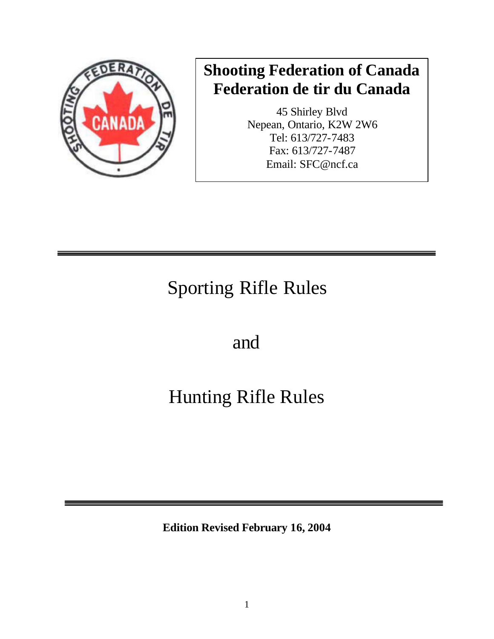

## **Shooting Federation of Canada Federation de tir du Canada**

45 Shirley Blvd Nepean, Ontario, K2W 2W6 Tel: 613/727-7483 Fax: 613/727-7487 Email: SFC@ncf.ca

# Sporting Rifle Rules

## and

# Hunting Rifle Rules

**Edition Revised February 16, 2004**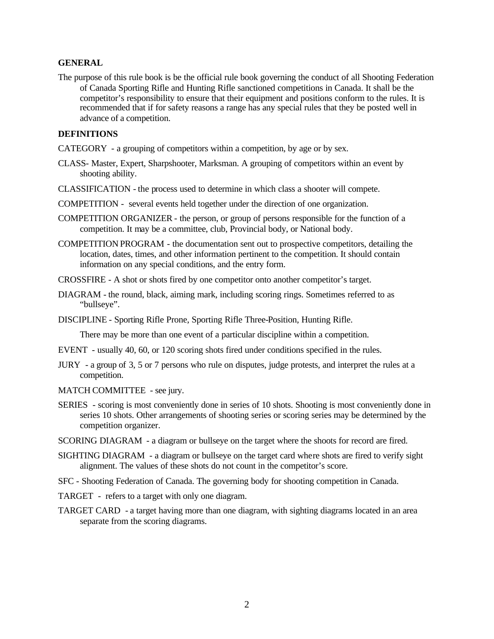#### **GENERAL**

The purpose of this rule book is be the official rule book governing the conduct of all Shooting Federation of Canada Sporting Rifle and Hunting Rifle sanctioned competitions in Canada. It shall be the competitor's responsibility to ensure that their equipment and positions conform to the rules. It is recommended that if for safety reasons a range has any special rules that they be posted well in advance of a competition.

#### **DEFINITIONS**

- CATEGORY a grouping of competitors within a competition, by age or by sex.
- CLASS- Master, Expert, Sharpshooter, Marksman. A grouping of competitors within an event by shooting ability.
- CLASSIFICATION the process used to determine in which class a shooter will compete.
- COMPETITION several events held together under the direction of one organization.
- COMPETITION ORGANIZER the person, or group of persons responsible for the function of a competition. It may be a committee, club, Provincial body, or National body.
- COMPETITION PROGRAM the documentation sent out to prospective competitors, detailing the location, dates, times, and other information pertinent to the competition. It should contain information on any special conditions, and the entry form.

CROSSFIRE - A shot or shots fired by one competitor onto another competitor's target.

- DIAGRAM the round, black, aiming mark, including scoring rings. Sometimes referred to as "bullseye".
- DISCIPLINE Sporting Rifle Prone, Sporting Rifle Three-Position, Hunting Rifle.

There may be more than one event of a particular discipline within a competition.

- EVENT usually 40, 60, or 120 scoring shots fired under conditions specified in the rules.
- JURY a group of 3, 5 or 7 persons who rule on disputes, judge protests, and interpret the rules at a competition.
- MATCH COMMITTEE see jury.
- SERIES scoring is most conveniently done in series of 10 shots. Shooting is most conveniently done in series 10 shots. Other arrangements of shooting series or scoring series may be determined by the competition organizer.
- SCORING DIAGRAM a diagram or bullseye on the target where the shoots for record are fired.
- SIGHTING DIAGRAM a diagram or bullseye on the target card where shots are fired to verify sight alignment. The values of these shots do not count in the competitor's score.
- SFC Shooting Federation of Canada. The governing body for shooting competition in Canada.
- TARGET refers to a target with only one diagram.
- TARGET CARD a target having more than one diagram, with sighting diagrams located in an area separate from the scoring diagrams.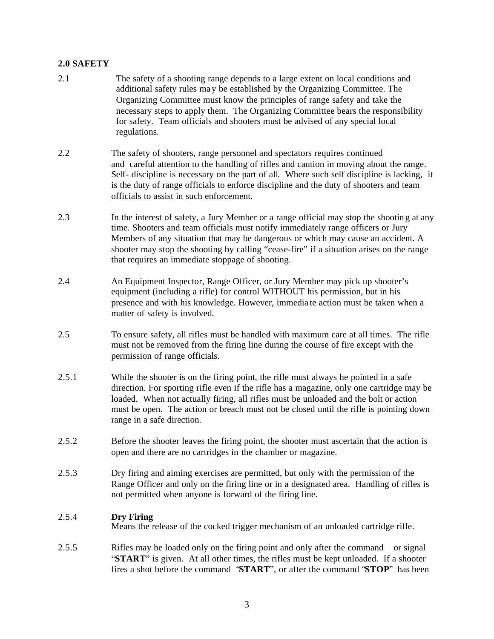#### **2.0 SAFETY**

- 2.1 The safety of a shooting range depends to a large extent on local conditions and additional safety rules ma y be established by the Organizing Committee. The Organizing Committee must know the principles of range safety and take the necessary steps to apply them. The Organizing Committee bears the responsibility for safety. Team officials and shooters must be advised of any special local regulations.
- 2.2 The safety of shooters, range personnel and spectators requires continued and careful attention to the handling of rifles and caution in moving about the range. Self- discipline is necessary on the part of all. Where such self discipline is lacking, it is the duty of range officials to enforce discipline and the duty of shooters and team officials to assist in such enforcement.
- 2.3 In the interest of safety, a Jury Member or a range official may stop the shootin g at any time. Shooters and team officials must notify immediately range officers or Jury Members of any situation that may be dangerous or which may cause an accident. A shooter may stop the shooting by calling "cease-fire" if a situation arises on the range that requires an immediate stoppage of shooting.
- 2.4 An Equipment Inspector, Range Officer, or Jury Member may pick up shooter's equipment (including a rifle) for control WITHOUT his permission, but in his presence and with his knowledge. However, immedia te action must be taken when a matter of safety is involved.
- 2.5 To ensure safety, all rifles must be handled with maximum care at all times. The rifle must not be removed from the firing line during the course of fire except with the permission of range officials.
- 2.5.1 While the shooter is on the firing point, the rifle must always he pointed in a safe direction. For sporting rifle even if the rifle has a magazine, only one cartridge may be loaded. When not actually firing, all rifles must be unloaded and the bolt or action must be open. The action or breach must not be closed until the rifle is pointing down range in a safe direction.
- 2.5.2 Before the shooter leaves the firing point, the shooter must ascertain that the action is open and there are no cartridges in the chamber or magazine.
- 2.5.3 Dry firing and aiming exercises are permitted, but only with the permission of the Range Officer and only on the firing line or in a designated area. Handling of rifles is not permitted when anyone is forward of the firing line.

#### 2.5.4 **Dry Firing**

Means the release of the cocked trigger mechanism of an unloaded cartridge rifle.

2.5.5 Rifles may be loaded only on the firing point and only after the command or signal "**START**" is given. At all other times, the rifles must be kept unloaded. If a shooter fires a shot before the command "**START**", or after the command "**STOP**" has been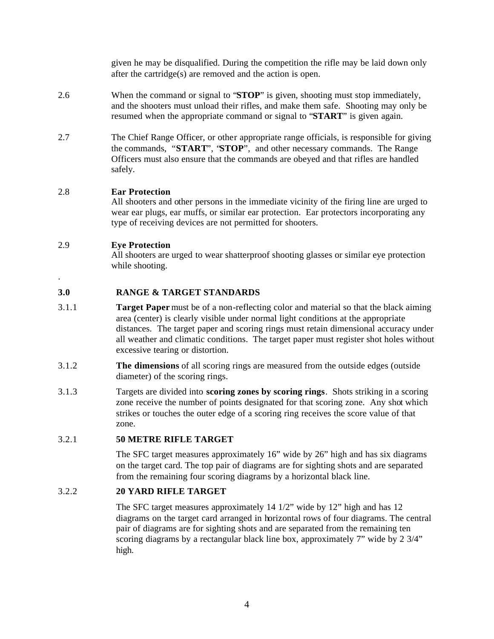given he may be disqualified. During the competition the rifle may be laid down only after the cartridge(s) are removed and the action is open.

- 2.6 When the command or signal to "**STOP**" is given, shooting must stop immediately, and the shooters must unload their rifles, and make them safe. Shooting may only be resumed when the appropriate command or signal to "**START**" is given again.
- 2.7 The Chief Range Officer, or other appropriate range officials, is responsible for giving the commands, "**START**", "**STOP**", and other necessary commands. The Range Officers must also ensure that the commands are obeyed and that rifles are handled safely.

#### 2.8 **Ear Protection**

All shooters and other persons in the immediate vicinity of the firing line are urged to wear ear plugs, ear muffs, or similar ear protection. Ear protectors incorporating any type of receiving devices are not permitted for shooters.

#### 2.9 **Eye Protection**

.

All shooters are urged to wear shatterproof shooting glasses or similar eye protection while shooting.

#### **3.0 RANGE & TARGET STANDARDS**

- 3.1.1 **Target Paper** must be of a non-reflecting color and material so that the black aiming area (center) is clearly visible under normal light conditions at the appropriate distances. The target paper and scoring rings must retain dimensional accuracy under all weather and climatic conditions. The target paper must register shot holes without excessive tearing or distortion.
- 3.1.2 **The dimensions** of all scoring rings are measured from the outside edges (outside diameter) of the scoring rings.
- 3.1.3 Targets are divided into **scoring zones by scoring rings**. Shots striking in a scoring zone receive the number of points designated for that scoring zone. Any shot which strikes or touches the outer edge of a scoring ring receives the score value of that zone.

#### 3.2.1 **50 METRE RIFLE TARGET**

The SFC target measures approximately 16" wide by 26" high and has six diagrams on the target card. The top pair of diagrams are for sighting shots and are separated from the remaining four scoring diagrams by a horizontal black line.

#### 3.2.2 **20 YARD RIFLE TARGET**

The SFC target measures approximately 14 1/2" wide by 12" high and has 12 diagrams on the target card arranged in horizontal rows of four diagrams. The central pair of diagrams are for sighting shots and are separated from the remaining ten scoring diagrams by a rectangular black line box, approximately 7" wide by 2 3/4" high.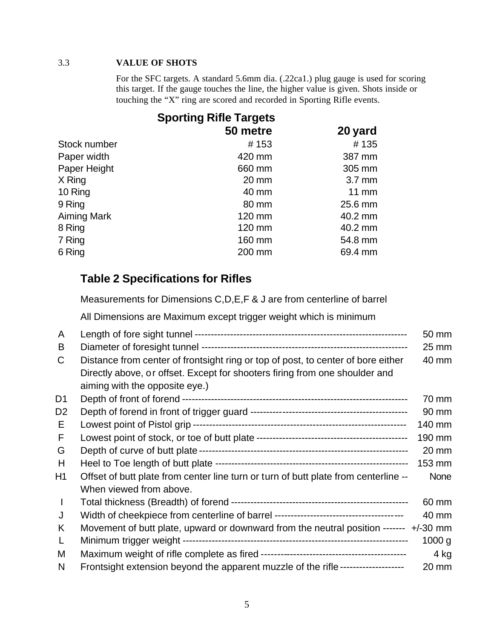#### 3.3 **VALUE OF SHOTS**

For the SFC targets. A standard 5.6mm dia. (.22ca1.) plug gauge is used for scoring this target. If the gauge touches the line, the higher value is given. Shots inside or touching the "X" ring are scored and recorded in Sporting Rifle events.

|              | <b>Sporting Rifle Targets</b> |                  |
|--------------|-------------------------------|------------------|
|              | 50 metre                      | 20 yard          |
| Stock number | #153                          | #135             |
| Paper width  | 420 mm                        | 387 mm           |
| Paper Height | 660 mm                        | 305 mm           |
| X Ring       | 20 mm                         | $3.7 \text{ mm}$ |
| 10 Ring      | 40 mm                         | <b>11 mm</b>     |
| 9 Ring       | 80 mm                         | 25.6 mm          |
| Aiming Mark  | 120 mm                        | 40.2 mm          |
| 8 Ring       | 120 mm                        | 40.2 mm          |
| 7 Ring       | 160 mm                        | 54.8 mm          |
| 6 Ring       | 200 mm                        | 69.4 mm          |

## **Table 2 Specifications for Rifles**

Measurements for Dimensions C,D,E,F & J are from centerline of barrel

All Dimensions are Maximum except trigger weight which is minimum

| A              |                                                                                     | 50 mm             |
|----------------|-------------------------------------------------------------------------------------|-------------------|
| B              |                                                                                     | $25 \, \text{mm}$ |
| C              | Distance from center of frontsight ring or top of post, to center of bore either    | 40 mm             |
|                | Directly above, or offset. Except for shooters firing from one shoulder and         |                   |
|                | aiming with the opposite eye.)                                                      |                   |
| D1             |                                                                                     | 70 mm             |
| D <sub>2</sub> |                                                                                     | 90 mm             |
| E              |                                                                                     | 140 mm            |
| F              |                                                                                     | 190 mm            |
| G              |                                                                                     | $20 \text{ mm}$   |
| H              |                                                                                     | 153 mm            |
| H1             | Offset of butt plate from center line turn or turn of butt plate from centerline -- | <b>None</b>       |
|                | When viewed from above.                                                             |                   |
| $\mathbf{I}$   |                                                                                     | 60 mm             |
| J              |                                                                                     | 40 mm             |
| K              | Movement of butt plate, upward or downward from the neutral position ------         | $+/-30$ mm        |
| L              |                                                                                     | 1000 g            |
| M              |                                                                                     | 4 kg              |
| N              | Frontsight extension beyond the apparent muzzle of the rifle -------------------    | $20 \, \text{mm}$ |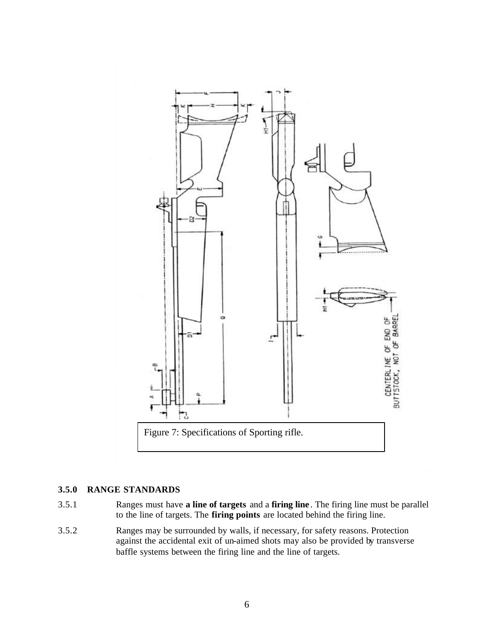

#### **3.5.0 RANGE STANDARDS**

- 3.5.1 Ranges must have **a line of targets** and a **firing line** . The firing line must be parallel to the line of targets. The **firing points** are located behind the firing line.
- 3.5.2 Ranges may be surrounded by walls, if necessary, for safety reasons. Protection against the accidental exit of un-aimed shots may also be provided by transverse baffle systems between the firing line and the line of targets.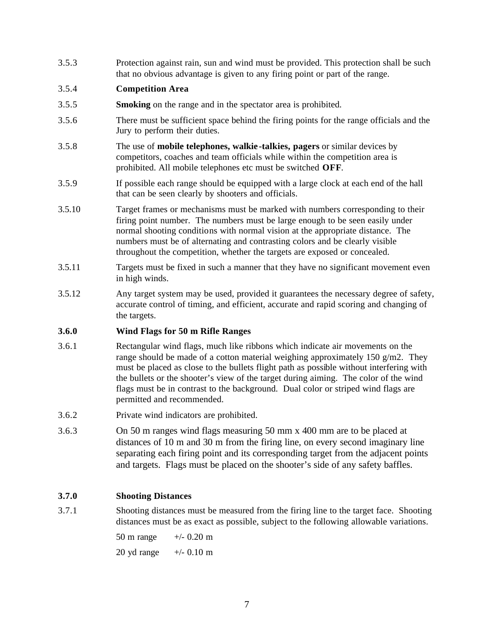3.5.3 Protection against rain, sun and wind must be provided. This protection shall be such that no obvious advantage is given to any firing point or part of the range.

#### 3.5.4 **Competition Area**

- 3.5.5 **Smoking** on the range and in the spectator area is prohibited.
- 3.5.6 There must be sufficient space behind the firing points for the range officials and the Jury to perform their duties.
- 3.5.8 The use of **mobile telephones, walkie -talkies, pagers** or similar devices by competitors, coaches and team officials while within the competition area is prohibited. All mobile telephones etc must be switched **OFF**.
- 3.5.9 If possible each range should be equipped with a large clock at each end of the hall that can be seen clearly by shooters and officials.
- 3.5.10 Target frames or mechanisms must be marked with numbers corresponding to their firing point number. The numbers must be large enough to be seen easily under normal shooting conditions with normal vision at the appropriate distance. The numbers must be of alternating and contrasting colors and be clearly visible throughout the competition, whether the targets are exposed or concealed.
- 3.5.11 Targets must be fixed in such a manner that they have no significant movement even in high winds.
- 3.5.12 Any target system may be used, provided it guarantees the necessary degree of safety, accurate control of timing, and efficient, accurate and rapid scoring and changing of the targets.

#### **3.6.0 Wind Flags for 50 m Rifle Ranges**

- 3.6.1 Rectangular wind flags, much like ribbons which indicate air movements on the range should be made of a cotton material weighing approximately 150  $g/m2$ . They must be placed as close to the bullets flight path as possible without interfering with the bullets or the shooter's view of the target during aiming. The color of the wind flags must be in contrast to the background. Dual color or striped wind flags are permitted and recommended.
- 3.6.2 Private wind indicators are prohibited.
- 3.6.3 On 50 m ranges wind flags measuring 50 mm x 400 mm are to be placed at distances of 10 m and 30 m from the firing line, on every second imaginary line separating each firing point and its corresponding target from the adjacent points and targets. Flags must be placed on the shooter's side of any safety baffles.

#### **3.7.0 Shooting Distances**

3.7.1 Shooting distances must be measured from the firing line to the target face. Shooting distances must be as exact as possible, subject to the following allowable variations.

> 50 m range  $+/- 0.20$  m 20 yd range  $+/- 0.10 \text{ m}$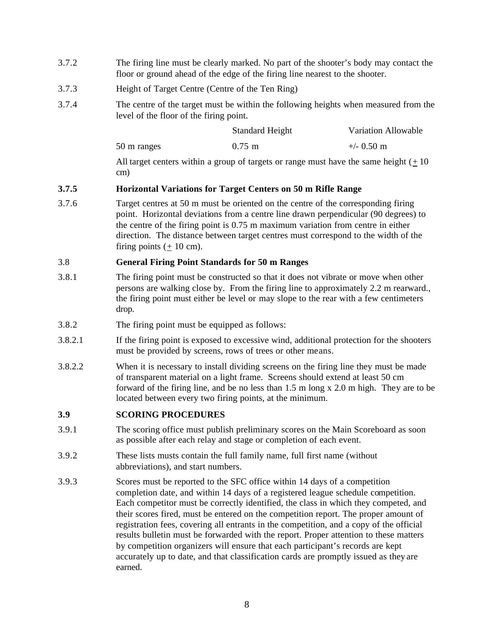- 3.7.2 The firing line must be clearly marked. No part of the shooter's body may contact the floor or ground ahead of the edge of the firing line nearest to the shooter.
- 3.7.3 Height of Target Centre (Centre of the Ten Ring)
- 3.7.4 The centre of the target must be within the following heights when measured from the level of the floor of the firing point.

|             | <b>Standard Height</b> | <b>Variation Allowable</b> |
|-------------|------------------------|----------------------------|
| 50 m ranges | $0.75 \; \mathrm{m}$   | $+/-$ 0.50 m               |

All target centers within a group of targets or range must have the same height  $(+10)$ cm)

#### **3.7.5 Horizontal Variations for Target Centers on 50 m Rifle Range**

3.7.6 Target centres at 50 m must be oriented on the centre of the corresponding firing point. Horizontal deviations from a centre line drawn perpendicular (90 degrees) to the centre of the firing point is 0.75 m maximum variation from centre in either direction. The distance between target centres must correspond to the width of the firing points  $(+ 10 \text{ cm})$ .

#### 3.8 **General Firing Point Standards for 50 m Ranges**

- 3.8.1 The firing point must be constructed so that it does not vibrate or move when other persons are walking close by. From the firing line to approximately 2.2 m rearward., the firing point must either be level or may slope to the rear with a few centimeters drop.
- 3.8.2 The firing point must be equipped as follows:
- 3.8.2.1 If the firing point is exposed to excessive wind, additional protection for the shooters must be provided by screens, rows of trees or other means.
- 3.8.2.2 When it is necessary to install dividing screens on the firing line they must be made of transparent material on a light frame. Screens should extend at least 50 cm forward of the firing line, and be no less than 1.5 m long x 2.0 m high. They are to be located between every two firing points, at the minimum.

#### **3.9 SCORING PROCEDURES**

- 3.9.1 The scoring office must publish preliminary scores on the Main Scoreboard as soon as possible after each relay and stage or completion of each event.
- 3.9.2 These lists musts contain the full family name, full first name (without abbreviations), and start numbers.
- 3.9.3 Scores must be reported to the SFC office within 14 days of a competition completion date, and within 14 days of a registered league schedule competition. Each competitor must be correctly identified, the class in which they competed, and their scores fired, must be entered on the competition report. The proper amount of registration fees, covering all entrants in the competition, and a copy of the official results bulletin must be forwarded with the report. Proper attention to these matters by competition organizers will ensure that each participant's records are kept accurately up to date, and that classification cards are promptly issued as they are earned.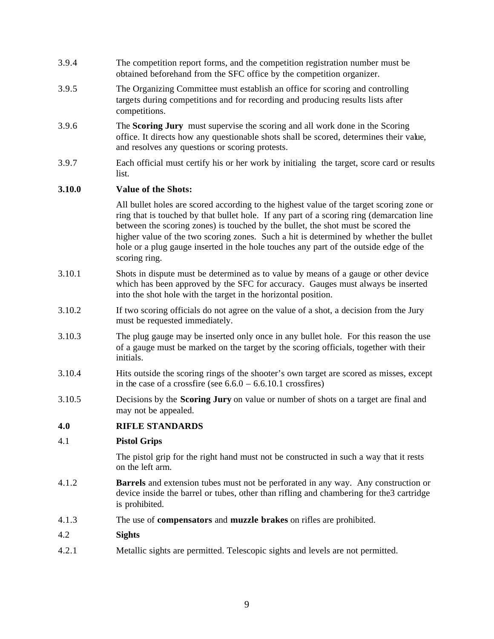- 3.9.4 The competition report forms, and the competition registration number must be obtained beforehand from the SFC office by the competition organizer.
- 3.9.5 The Organizing Committee must establish an office for scoring and controlling targets during competitions and for recording and producing results lists after competitions.
- 3.9.6 The **Scoring Jury** must supervise the scoring and all work done in the Scoring office. It directs how any questionable shots shall be scored, determines their value, and resolves any questions or scoring protests.
- 3.9.7 Each official must certify his or her work by initialing the target, score card or results list.

#### **3.10.0 Value of the Shots:**

All bullet holes are scored according to the highest value of the target scoring zone or ring that is touched by that bullet hole. If any part of a scoring ring (demarcation line between the scoring zones) is touched by the bullet, the shot must be scored the higher value of the two scoring zones. Such a hit is determined by whether the bullet hole or a plug gauge inserted in the hole touches any part of the outside edge of the scoring ring.

- 3.10.1 Shots in dispute must be determined as to value by means of a gauge or other device which has been approved by the SFC for accuracy. Gauges must always be inserted into the shot hole with the target in the horizontal position.
- 3.10.2 If two scoring officials do not agree on the value of a shot, a decision from the Jury must be requested immediately.
- 3.10.3 The plug gauge may be inserted only once in any bullet hole. For this reason the use of a gauge must be marked on the target by the scoring officials, together with their initials.
- 3.10.4 Hits outside the scoring rings of the shooter's own target are scored as misses, except in the case of a crossfire (see  $6.6.0 - 6.6.10.1$  crossfires)
- 3.10.5 Decisions by the **Scoring Jury** on value or number of shots on a target are final and may not be appealed.

#### **4.0 RIFLE STANDARDS**

#### 4.1 **Pistol Grips**

The pistol grip for the right hand must not be constructed in such a way that it rests on the left arm.

- 4.1.2 **Barrels** and extension tubes must not be perforated in any way. Any construction or device inside the barrel or tubes, other than rifling and chambering for the3 cartridge is prohibited.
- 4.1.3 The use of **compensators** and **muzzle brakes** on rifles are prohibited.

#### 4.2 **Sights**

4.2.1 Metallic sights are permitted. Telescopic sights and levels are not permitted.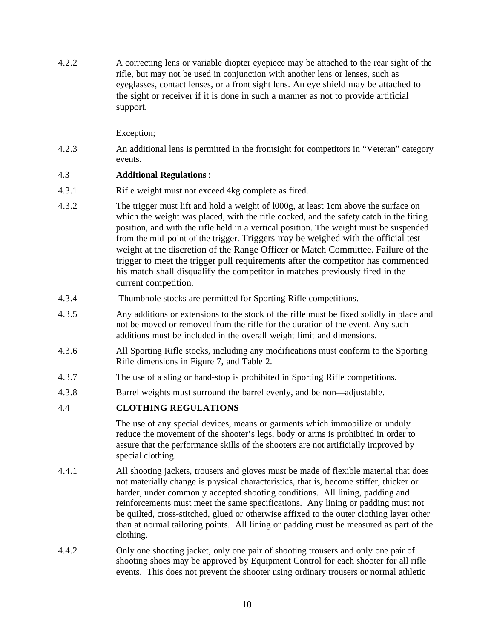4.2.2 A correcting lens or variable diopter eyepiece may be attached to the rear sight of the rifle, but may not be used in conjunction with another lens or lenses, such as eyeglasses, contact lenses, or a front sight lens. An eye shield may be attached to the sight or receiver if it is done in such a manner as not to provide artificial support.

#### Exception;

4.2.3 An additional lens is permitted in the frontsight for competitors in "Veteran" category events.

#### 4.3 **Additional Regulations** :

- 4.3.1 Rifle weight must not exceed 4kg complete as fired.
- 4.3.2 The trigger must lift and hold a weight of l000g, at least 1cm above the surface on which the weight was placed, with the rifle cocked, and the safety catch in the firing position, and with the rifle held in a vertical position. The weight must be suspended from the mid-point of the trigger. Triggers may be weighed with the official test weight at the discretion of the Range Officer or Match Committee. Failure of the trigger to meet the trigger pull requirements after the competitor has commenced his match shall disqualify the competitor in matches previously fired in the current competition.
- 4.3.4 Thumbhole stocks are permitted for Sporting Rifle competitions.
- 4.3.5 Any additions or extensions to the stock of the rifle must be fixed solidly in place and not be moved or removed from the rifle for the duration of the event. Any such additions must be included in the overall weight limit and dimensions.
- 4.3.6 All Sporting Rifle stocks, including any modifications must conform to the Sporting Rifle dimensions in Figure 7, and Table 2.
- 4.3.7 The use of a sling or hand-stop is prohibited in Sporting Rifle competitions.
- 4.3.8 Barrel weights must surround the barrel evenly, and be non—adjustable.

#### 4.4 **CLOTHING REGULATIONS**

The use of any special devices, means or garments which immobilize or unduly reduce the movement of the shooter's legs, body or arms is prohibited in order to assure that the performance skills of the shooters are not artificially improved by special clothing.

- 4.4.1 All shooting jackets, trousers and gloves must be made of flexible material that does not materially change is physical characteristics, that is, become stiffer, thicker or harder, under commonly accepted shooting conditions. All lining, padding and reinforcements must meet the same specifications. Any lining or padding must not be quilted, cross-stitched, glued or otherwise affixed to the outer clothing layer other than at normal tailoring points. All lining or padding must be measured as part of the clothing.
- 4.4.2 Only one shooting jacket, only one pair of shooting trousers and only one pair of shooting shoes may be approved by Equipment Control for each shooter for all rifle events. This does not prevent the shooter using ordinary trousers or normal athletic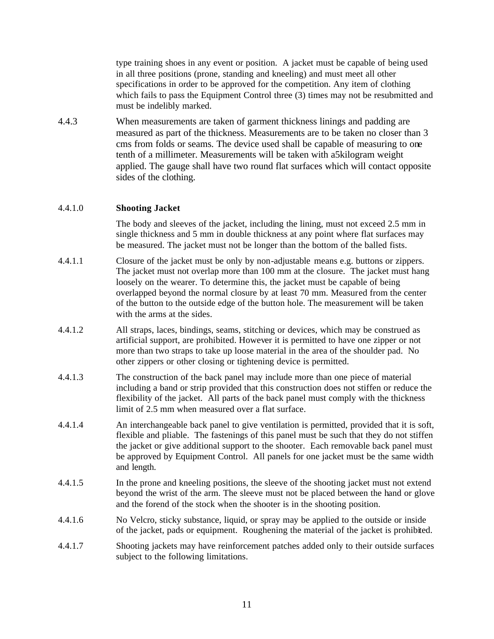type training shoes in any event or position. A jacket must be capable of being used in all three positions (prone, standing and kneeling) and must meet all other specifications in order to be approved for the competition. Any item of clothing which fails to pass the Equipment Control three (3) times may not be resubmitted and must be indelibly marked.

4.4.3 When measurements are taken of garment thickness linings and padding are measured as part of the thickness. Measurements are to be taken no closer than 3 cms from folds or seams. The device used shall be capable of measuring to one tenth of a millimeter. Measurements will be taken with a5kilogram weight applied. The gauge shall have two round flat surfaces which will contact opposite sides of the clothing.

#### 4.4.1.0 **Shooting Jacket**

The body and sleeves of the jacket, including the lining, must not exceed 2.5 mm in single thickness and 5 mm in double thickness at any point where flat surfaces may be measured. The jacket must not be longer than the bottom of the balled fists.

- 4.4.1.1 Closure of the jacket must be only by non-adjustable means e.g. buttons or zippers. The jacket must not overlap more than 100 mm at the closure. The jacket must hang loosely on the wearer. To determine this, the jacket must be capable of being overlapped beyond the normal closure by at least 70 mm. Measured from the center of the button to the outside edge of the button hole. The measurement will be taken with the arms at the sides.
- 4.4.1.2 All straps, laces, bindings, seams, stitching or devices, which may be construed as artificial support, are prohibited. However it is permitted to have one zipper or not more than two straps to take up loose material in the area of the shoulder pad. No other zippers or other closing or tightening device is permitted.
- 4.4.1.3 The construction of the back panel may include more than one piece of material including a band or strip provided that this construction does not stiffen or reduce the flexibility of the jacket. All parts of the back panel must comply with the thickness limit of 2.5 mm when measured over a flat surface.
- 4.4.1.4 An interchangeable back panel to give ventilation is permitted, provided that it is soft, flexible and pliable. The fastenings of this panel must be such that they do not stiffen the jacket or give additional support to the shooter. Each removable back panel must be approved by Equipment Control. All panels for one jacket must be the same width and length.
- 4.4.1.5 In the prone and kneeling positions, the sleeve of the shooting jacket must not extend beyond the wrist of the arm. The sleeve must not be placed between the hand or glove and the forend of the stock when the shooter is in the shooting position.
- 4.4.1.6 No Velcro, sticky substance, liquid, or spray may be applied to the outside or inside of the jacket, pads or equipment. Roughening the material of the jacket is prohibited.
- 4.4.1.7 Shooting jackets may have reinforcement patches added only to their outside surfaces subject to the following limitations.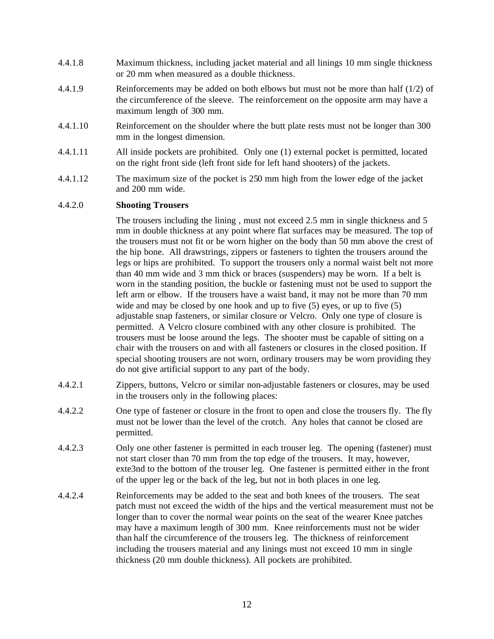- 4.4.1.8 Maximum thickness, including jacket material and all linings 10 mm single thickness or 20 mm when measured as a double thickness.
- 4.4.1.9 Reinforcements may be added on both elbows but must not be more than half (1/2) of the circumference of the sleeve. The reinforcement on the opposite arm may have a maximum length of 300 mm.
- 4.4.1.10 Reinforcement on the shoulder where the butt plate rests must not be longer than 300 mm in the longest dimension.
- 4.4.1.11 All inside pockets are prohibited. Only one (1) external pocket is permitted, located on the right front side (left front side for left hand shooters) of the jackets.
- 4.4.1.12 The maximum size of the pocket is 250 mm high from the lower edge of the jacket and 200 mm wide.

#### 4.4.2.0 **Shooting Trousers**

The trousers including the lining , must not exceed 2.5 mm in single thickness and 5 mm in double thickness at any point where flat surfaces may be measured. The top of the trousers must not fit or be worn higher on the body than 50 mm above the crest of the hip bone. All drawstrings, zippers or fasteners to tighten the trousers around the legs or hips are prohibited. To support the trousers only a normal waist belt not more than 40 mm wide and 3 mm thick or braces (suspenders) may be worn. If a belt is worn in the standing position, the buckle or fastening must not be used to support the left arm or elbow. If the trousers have a waist band, it may not be more than 70 mm wide and may be closed by one hook and up to five (5) eyes, or up to five (5) adjustable snap fasteners, or similar closure or Velcro. Only one type of closure is permitted. A Velcro closure combined with any other closure is prohibited. The trousers must be loose around the legs. The shooter must be capable of sitting on a chair with the trousers on and with all fasteners or closures in the closed position. If special shooting trousers are not worn, ordinary trousers may be worn providing they do not give artificial support to any part of the body.

- 4.4.2.1 Zippers, buttons, Velcro or similar non-adjustable fasteners or closures, may be used in the trousers only in the following places:
- 4.4.2.2 One type of fastener or closure in the front to open and close the trousers fly. The fly must not be lower than the level of the crotch. Any holes that cannot be closed are permitted.
- 4.4.2.3 Only one other fastener is permitted in each trouser leg. The opening (fastener) must not start closer than 70 mm from the top edge of the trousers. It may, however, exte3nd to the bottom of the trouser leg. One fastener is permitted either in the front of the upper leg or the back of the leg, but not in both places in one leg.
- 4.4.2.4 Reinforcements may be added to the seat and both knees of the trousers. The seat patch must not exceed the width of the hips and the vertical measurement must not be longer than to cover the normal wear points on the seat of the wearer Knee patches may have a maximum length of 300 mm. Knee reinforcements must not be wider than half the circumference of the trousers leg. The thickness of reinforcement including the trousers material and any linings must not exceed 10 mm in single thickness (20 mm double thickness). All pockets are prohibited.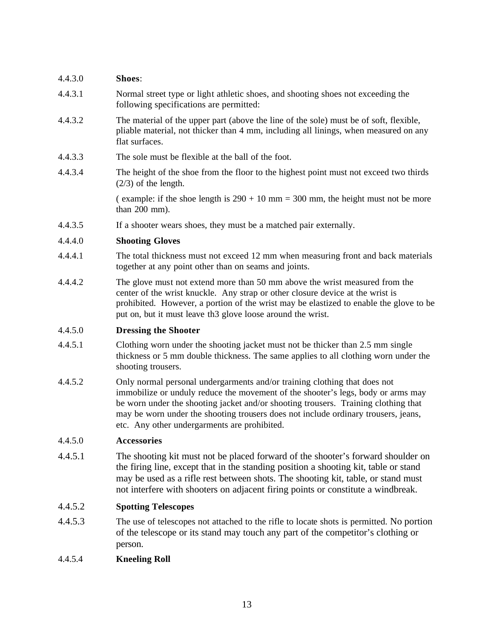#### 4.4.3.0 **Shoes**: 4.4.3.1 Normal street type or light athletic shoes, and shooting shoes not exceeding the following specifications are permitted: 4.4.3.2 The material of the upper part (above the line of the sole) must be of soft, flexible, pliable material, not thicker than 4 mm, including all linings, when measured on any flat surfaces.

- 4.4.3.3 The sole must be flexible at the ball of the foot.
- 4.4.3.4 The height of the shoe from the floor to the highest point must not exceed two thirds (2/3) of the length.

( example: if the shoe length is  $290 + 10$  mm = 300 mm, the height must not be more than 200 mm).

4.4.3.5 If a shooter wears shoes, they must be a matched pair externally.

#### 4.4.4.0 **Shooting Gloves**

- 4.4.4.1 The total thickness must not exceed 12 mm when measuring front and back materials together at any point other than on seams and joints.
- 4.4.4.2 The glove must not extend more than 50 mm above the wrist measured from the center of the wrist knuckle. Any strap or other closure device at the wrist is prohibited. However, a portion of the wrist may be elastized to enable the glove to be put on, but it must leave th3 glove loose around the wrist.

#### 4.4.5.0 **Dressing the Shooter**

- 4.4.5.1 Clothing worn under the shooting jacket must not be thicker than 2.5 mm single thickness or 5 mm double thickness. The same applies to all clothing worn under the shooting trousers.
- 4.4.5.2 Only normal personal undergarments and/or training clothing that does not immobilize or unduly reduce the movement of the shooter's legs, body or arms may be worn under the shooting jacket and/or shooting trousers. Training clothing that may be worn under the shooting trousers does not include ordinary trousers, jeans, etc. Any other undergarments are prohibited.

#### 4.4.5.0 **Accessories**

4.4.5.1 The shooting kit must not be placed forward of the shooter's forward shoulder on the firing line, except that in the standing position a shooting kit, table or stand may be used as a rifle rest between shots. The shooting kit, table, or stand must not interfere with shooters on adjacent firing points or constitute a windbreak.

#### 4.4.5.2 **Spotting Telescopes**

4.4.5.3 The use of telescopes not attached to the rifle to locate shots is permitted. No portion of the telescope or its stand may touch any part of the competitor's clothing or person.

#### 4.4.5.4 **Kneeling Roll**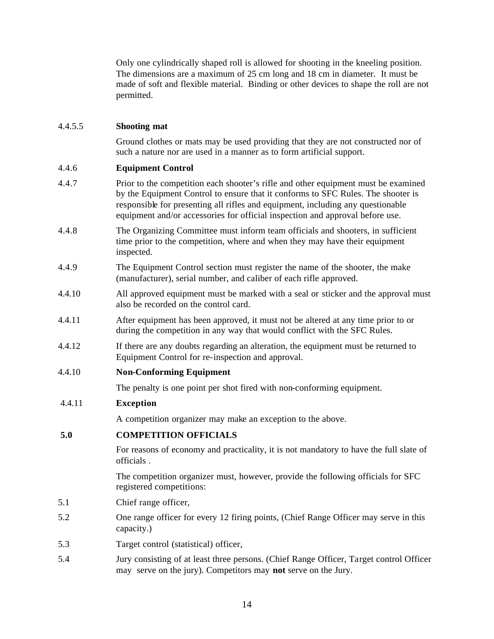Only one cylindrically shaped roll is allowed for shooting in the kneeling position. The dimensions are a maximum of 25 cm long and 18 cm in diameter. It must be made of soft and flexible material. Binding or other devices to shape the roll are not permitted.

#### 4.4.5.5 **Shooting mat**

Ground clothes or mats may be used providing that they are not constructed nor of such a nature nor are used in a manner as to form artificial support.

#### 4.4.6 **Equipment Control**

- 4.4.7 Prior to the competition each shooter's rifle and other equipment must be examined by the Equipment Control to ensure that it conforms to SFC Rules. The shooter is responsible for presenting all rifles and equipment, including any questionable equipment and/or accessories for official inspection and approval before use.
- 4.4.8 The Organizing Committee must inform team officials and shooters, in sufficient time prior to the competition, where and when they may have their equipment inspected.
- 4.4.9 The Equipment Control section must register the name of the shooter, the make (manufacturer), serial number, and caliber of each rifle approved.
- 4.4.10 All approved equipment must be marked with a seal or sticker and the approval must also be recorded on the control card.
- 4.4.11 After equipment has been approved, it must not be altered at any time prior to or during the competition in any way that would conflict with the SFC Rules.
- 4.4.12 If there are any doubts regarding an alteration, the equipment must be returned to Equipment Control for re-inspection and approval.
- 4.4.10 **Non-Conforming Equipment**

The penalty is one point per shot fired with non-conforming equipment.

#### 4.4.11 **Exception**

A competition organizer may make an exception to the above.

#### **5.0 COMPETITION OFFICIALS**

For reasons of economy and practicality, it is not mandatory to have the full slate of officials .

The competition organizer must, however, provide the following officials for SFC registered competitions:

- 5.1 Chief range officer,
- 5.2 One range officer for every 12 firing points, (Chief Range Officer may serve in this capacity.)
- 5.3 Target control (statistical) officer,
- 5.4 Jury consisting of at least three persons. (Chief Range Officer, Target control Officer may serve on the jury). Competitors may **not** serve on the Jury.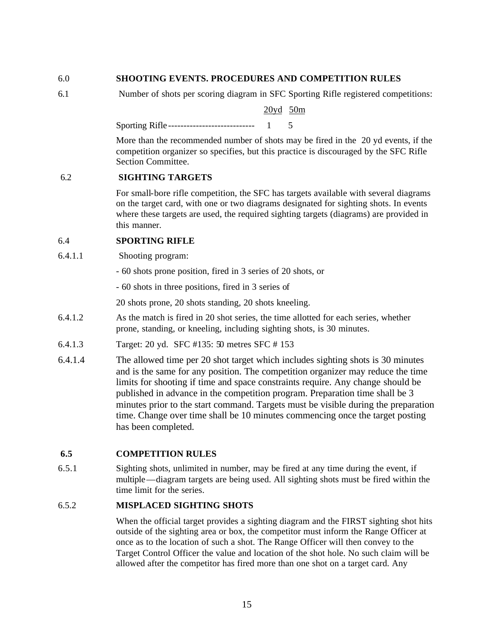#### 6.0 **SHOOTING EVENTS. PROCEDURES AND COMPETITION RULES**

6.1 Number of shots per scoring diagram in SFC Sporting Rifle registered competitions:

20yd 50m

Sporting Rifle --------------------------------- 1 5

More than the recommended number of shots may be fired in the 20 yd events, if the competition organizer so specifies, but this practice is discouraged by the SFC Rifle Section Committee.

#### 6.2 **SIGHTING TARGETS**

For small-bore rifle competition, the SFC has targets available with several diagrams on the target card, with one or two diagrams designated for sighting shots. In events where these targets are used, the required sighting targets (diagrams) are provided in this manner.

#### 6.4 **SPORTING RIFLE**

- 6.4.1.1 Shooting program:
	- 60 shots prone position, fired in 3 series of 20 shots, or
	- 60 shots in three positions, fired in 3 series of

20 shots prone, 20 shots standing, 20 shots kneeling.

- 6.4.1.2 As the match is fired in 20 shot series, the time allotted for each series, whether prone, standing, or kneeling, including sighting shots, is 30 minutes.
- 6.4.1.3 Target: 20 yd. SFC #135: 50 metres SFC # 153
- 6.4.1.4 The allowed time per 20 shot target which includes sighting shots is 30 minutes and is the same for any position. The competition organizer may reduce the time limits for shooting if time and space constraints require. Any change should be published in advance in the competition program. Preparation time shall be 3 minutes prior to the start command. Targets must be visible during the preparation time. Change over time shall be 10 minutes commencing once the target posting has been completed.

#### **6.5 COMPETITION RULES**

6.5.1 Sighting shots, unlimited in number, may be fired at any time during the event, if multiple—diagram targets are being used. All sighting shots must be fired within the time limit for the series.

#### 6.5.2 **MISPLACED SIGHTING SHOTS**

When the official target provides a sighting diagram and the FIRST sighting shot hits outside of the sighting area or box, the competitor must inform the Range Officer at once as to the location of such a shot. The Range Officer will then convey to the Target Control Officer the value and location of the shot hole. No such claim will be allowed after the competitor has fired more than one shot on a target card. Any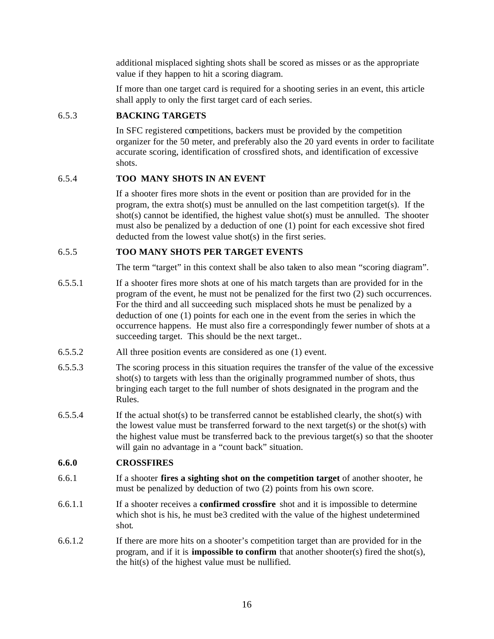additional misplaced sighting shots shall be scored as misses or as the appropriate value if they happen to hit a scoring diagram.

If more than one target card is required for a shooting series in an event, this article shall apply to only the first target card of each series.

#### 6.5.3 **BACKING TARGETS**

In SFC registered competitions, backers must be provided by the competition organizer for the 50 meter, and preferably also the 20 yard events in order to facilitate accurate scoring, identification of crossfired shots, and identification of excessive shots.

#### 6.5.4 **TOO MANY SHOTS IN AN EVENT**

If a shooter fires more shots in the event or position than are provided for in the program, the extra shot(s) must be annulled on the last competition target(s). If the shot(s) cannot be identified, the highest value shot(s) must be annulled. The shooter must also be penalized by a deduction of one (1) point for each excessive shot fired deducted from the lowest value shot(s) in the first series.

#### 6.5.5 **TOO MANY SHOTS PER TARGET EVENTS**

The term "target" in this context shall be also taken to also mean "scoring diagram".

- 6.5.5.1 If a shooter fires more shots at one of his match targets than are provided for in the program of the event, he must not be penalized for the first two (2) such occurrences. For the third and all succeeding such misplaced shots he must be penalized by a deduction of one (1) points for each one in the event from the series in which the occurrence happens. He must also fire a correspondingly fewer number of shots at a succeeding target. This should be the next target..
- 6.5.5.2 All three position events are considered as one (1) event.
- 6.5.5.3 The scoring process in this situation requires the transfer of the value of the excessive shot(s) to targets with less than the originally programmed number of shots, thus bringing each target to the full number of shots designated in the program and the Rules.
- 6.5.5.4 If the actual shot(s) to be transferred cannot be established clearly, the shot(s) with the lowest value must be transferred forward to the next target(s) or the shot(s) with the highest value must be transferred back to the previous target(s) so that the shooter will gain no advantage in a "count back" situation.

#### **6.6.0 CROSSFIRES**

- 6.6.1 If a shooter **fires a sighting shot on the competition target** of another shooter, he must be penalized by deduction of two (2) points from his own score.
- 6.6.1.1 If a shooter receives a **confirmed crossfire** shot and it is impossible to determine which shot is his, he must be3 credited with the value of the highest undetermined shot.
- 6.6.1.2 If there are more hits on a shooter's competition target than are provided for in the program, and if it is **impossible to confirm** that another shooter(s) fired the shot(s), the hit(s) of the highest value must be nullified.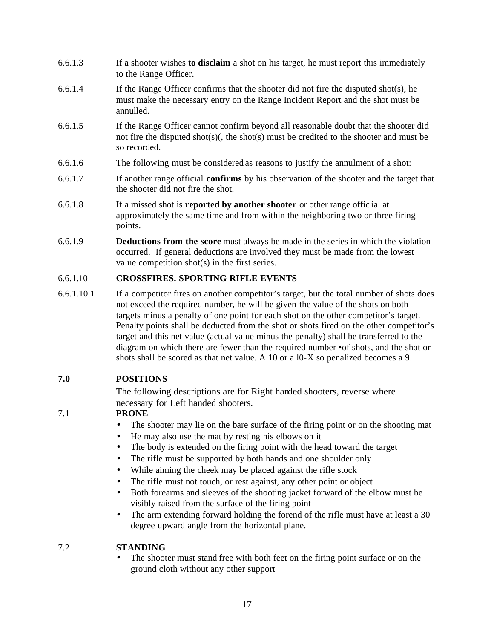- 6.6.1.3 If a shooter wishes **to disclaim** a shot on his target, he must report this immediately to the Range Officer.
- 6.6.1.4 If the Range Officer confirms that the shooter did not fire the disputed shot(s), he must make the necessary entry on the Range Incident Report and the shot must be annulled.
- 6.6.1.5 If the Range Officer cannot confirm beyond all reasonable doubt that the shooter did not fire the disputed shot(s)(, the shot(s) must be credited to the shooter and must be so recorded.
- 6.6.1.6 The following must be considered as reasons to justify the annulment of a shot:
- 6.6.1.7 If another range official **confirms** by his observation of the shooter and the target that the shooter did not fire the shot.
- 6.6.1.8 If a missed shot is **reported by another shooter** or other range offic ial at approximately the same time and from within the neighboring two or three firing points.
- 6.6.1.9 **Deductions from the score** must always be made in the series in which the violation occurred. If general deductions are involved they must be made from the lowest value competition shot(s) in the first series.

#### 6.6.1.10 **CROSSFIRES. SPORTING RIFLE EVENTS**

6.6.1.10.1 If a competitor fires on another competitor's target, but the total number of shots does not exceed the required number, he will be given the value of the shots on both targets minus a penalty of one point for each shot on the other competitor's target. Penalty points shall be deducted from the shot or shots fired on the other competitor's target and this net value (actual value minus the penalty) shall be transferred to the diagram on which there are fewer than the required number •of shots, and the shot or shots shall be scored as that net value. A 10 or a l0-X so penalized becomes a 9.

#### **7.0 POSITIONS**

The following descriptions are for Right handed shooters, reverse where necessary for Left handed shooters.

#### 7.1 **PRONE**

- The shooter may lie on the bare surface of the firing point or on the shooting mat
- He may also use the mat by resting his elbows on it
- The body is extended on the firing point with the head toward the target
- The rifle must be supported by both hands and one shoulder only
- While aiming the cheek may be placed against the rifle stock
- The rifle must not touch, or rest against, any other point or object
- Both forearms and sleeves of the shooting jacket forward of the elbow must be visibly raised from the surface of the firing point
- The arm extending forward holding the forend of the rifle must have at least a 30 degree upward angle from the horizontal plane.

#### 7.2 **STANDING**

The shooter must stand free with both feet on the firing point surface or on the ground cloth without any other support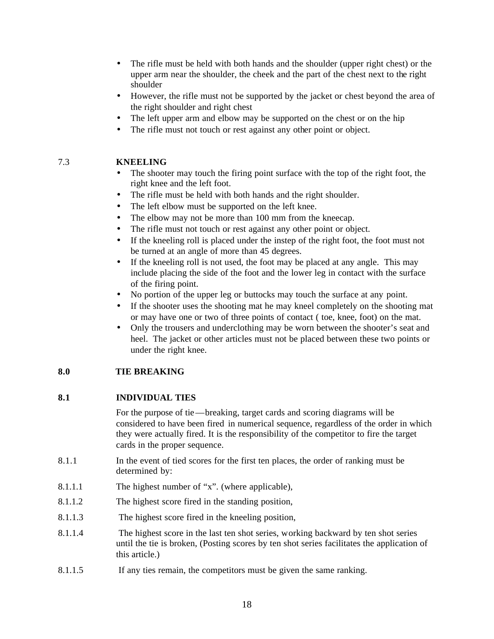- The rifle must be held with both hands and the shoulder (upper right chest) or the upper arm near the shoulder, the cheek and the part of the chest next to the right shoulder
- However, the rifle must not be supported by the jacket or chest beyond the area of the right shoulder and right chest
- The left upper arm and elbow may be supported on the chest or on the hip
- The rifle must not touch or rest against any other point or object.

#### 7.3 **KNEELING**

- The shooter may touch the firing point surface with the top of the right foot, the right knee and the left foot.
- The rifle must be held with both hands and the right shoulder.
- The left elbow must be supported on the left knee.
- The elbow may not be more than 100 mm from the kneecap.
- The rifle must not touch or rest against any other point or object.
- If the kneeling roll is placed under the instep of the right foot, the foot must not be turned at an angle of more than 45 degrees.
- If the kneeling roll is not used, the foot may be placed at any angle. This may include placing the side of the foot and the lower leg in contact with the surface of the firing point.
- No portion of the upper leg or buttocks may touch the surface at any point.
- If the shooter uses the shooting mat he may kneel completely on the shooting mat or may have one or two of three points of contact ( toe, knee, foot) on the mat.
- Only the trousers and underclothing may be worn between the shooter's seat and heel. The jacket or other articles must not be placed between these two points or under the right knee.

#### **8.0 TIE BREAKING**

#### **8.1 INDIVIDUAL TIES**

For the purpose of tie—breaking, target cards and scoring diagrams will be considered to have been fired in numerical sequence, regardless of the order in which they were actually fired. It is the responsibility of the competitor to fire the target cards in the proper sequence.

- 8.1.1 In the event of tied scores for the first ten places, the order of ranking must be determined by:
- 8.1.1.1 The highest number of "x". (where applicable),
- 8.1.1.2 The highest score fired in the standing position,
- 8.1.1.3 The highest score fired in the kneeling position,
- 8.1.1.4 The highest score in the last ten shot series, working backward by ten shot series until the tie is broken, (Posting scores by ten shot series facilitates the application of this article.)
- 8.1.1.5 If any ties remain, the competitors must be given the same ranking.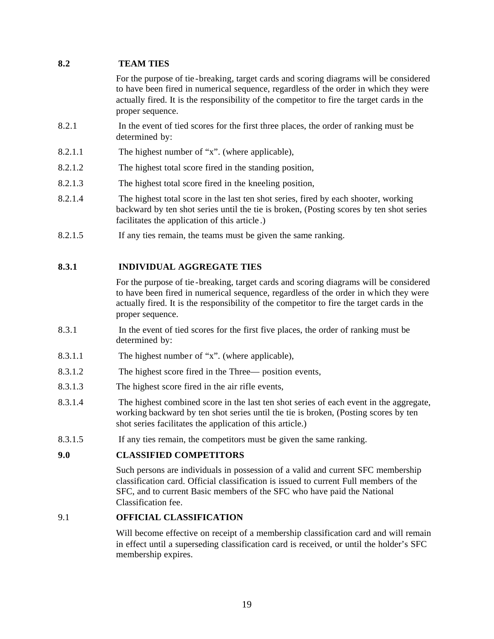#### **8.2 TEAM TIES**

For the purpose of tie -breaking, target cards and scoring diagrams will be considered to have been fired in numerical sequence, regardless of the order in which they were actually fired. It is the responsibility of the competitor to fire the target cards in the proper sequence.

- 8.2.1 In the event of tied scores for the first three places, the order of ranking must be determined by:
- 8.2.1.1 The highest number of "x". (where applicable),
- 8.2.1.2 The highest total score fired in the standing position,
- 8.2.1.3 The highest total score fired in the kneeling position,
- 8.2.1.4 The highest total score in the last ten shot series, fired by each shooter, working backward by ten shot series until the tie is broken, (Posting scores by ten shot series facilitates the application of this article .)
- 8.2.1.5 If any ties remain, the teams must be given the same ranking.

#### **8.3.1 INDIVIDUAL AGGREGATE TIES**

For the purpose of tie -breaking, target cards and scoring diagrams will be considered to have been fired in numerical sequence, regardless of the order in which they were actually fired. It is the responsibility of the competitor to fire the target cards in the proper sequence.

- 8.3.1 In the event of tied scores for the first five places, the order of ranking must be determined by:
- 8.3.1.1 The highest number of "x". (where applicable),
- 8.3.1.2 The highest score fired in the Three— position events,
- 8.3.1.3 The highest score fired in the air rifle events,
- 8.3.1.4 The highest combined score in the last ten shot series of each event in the aggregate, working backward by ten shot series until the tie is broken, (Posting scores by ten shot series facilitates the application of this article.)
- 8.3.1.5 If any ties remain, the competitors must be given the same ranking.

#### **9.0 CLASSIFIED COMPETITORS**

Such persons are individuals in possession of a valid and current SFC membership classification card. Official classification is issued to current Full members of the SFC, and to current Basic members of the SFC who have paid the National Classification fee.

#### 9.1 **OFFICIAL CLASSIFICATION**

Will become effective on receipt of a membership classification card and will remain in effect until a superseding classification card is received, or until the holder's SFC membership expires.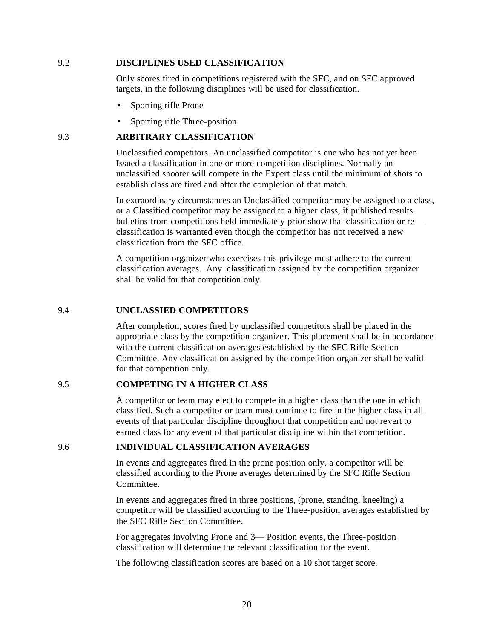#### 9.2 **DISCIPLINES USED CLASSIFICATION**

Only scores fired in competitions registered with the SFC, and on SFC approved targets, in the following disciplines will be used for classification.

- Sporting rifle Prone
- Sporting rifle Three-position

#### 9.3 **ARBITRARY CLASSIFICATION**

Unclassified competitors. An unclassified competitor is one who has not yet been Issued a classification in one or more competition disciplines. Normally an unclassified shooter will compete in the Expert class until the minimum of shots to establish class are fired and after the completion of that match.

In extraordinary circumstances an Unclassified competitor may be assigned to a class, or a Classified competitor may be assigned to a higher class, if published results bulletins from competitions held immediately prior show that classification or re classification is warranted even though the competitor has not received a new classification from the SFC office.

A competition organizer who exercises this privilege must adhere to the current classification averages. Any classification assigned by the competition organizer shall be valid for that competition only.

#### 9.4 **UNCLASSIED COMPETITORS**

After completion, scores fired by unclassified competitors shall be placed in the appropriate class by the competition organizer. This placement shall be in accordance with the current classification averages established by the SFC Rifle Section Committee. Any classification assigned by the competition organizer shall be valid for that competition only.

#### 9.5 **COMPETING IN A HIGHER CLASS**

A competitor or team may elect to compete in a higher class than the one in which classified. Such a competitor or team must continue to fire in the higher class in all events of that particular discipline throughout that competition and not revert to earned class for any event of that particular discipline within that competition.

#### 9.6 **INDIVIDUAL CLASSIFICATION AVERAGES**

In events and aggregates fired in the prone position only, a competitor will be classified according to the Prone averages determined by the SFC Rifle Section Committee.

In events and aggregates fired in three positions, (prone, standing, kneeling) a competitor will be classified according to the Three-position averages established by the SFC Rifle Section Committee.

For aggregates involving Prone and 3— Position events, the Three-position classification will determine the relevant classification for the event.

The following classification scores are based on a 10 shot target score.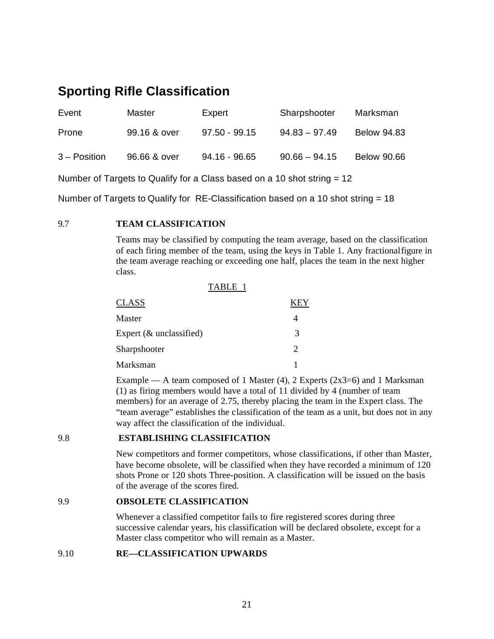## **Sporting Rifle Classification**

| Event          | Master       | Expert          | Sharpshooter    | Marksman           |
|----------------|--------------|-----------------|-----------------|--------------------|
| Prone          | 99.16 & over | $97.50 - 99.15$ | $94.83 - 97.49$ | <b>Below 94.83</b> |
| $3 -$ Position | 96.66 & over | $94.16 - 96.65$ | $90.66 - 94.15$ | <b>Below 90.66</b> |

Number of Targets to Qualify for a Class based on a 10 shot string = 12

Number of Targets to Qualify for RE-Classification based on a 10 shot string = 18

#### 9.7 **TEAM CLASSIFICATION**

Teams may be classified by computing the team average, based on the classification of each firing member of the team, using the keys in Table 1. Any fractional figure in the team average reaching or exceeding one half, places the team in the next higher class.

| TABLE 1                    |    |
|----------------------------|----|
| <b>CLASS</b>               | ЕY |
| Master                     | 4  |
| Expert $(\&$ unclassified) | 3  |
| Sharpshooter               | 2  |
| Marksman                   |    |

Example — A team composed of 1 Master (4), 2 Experts ( $2x3=6$ ) and 1 Marksman (1) as firing members would have a total of 11 divided by 4 (number of team members) for an average of 2.75, thereby placing the team in the Expert class. The "team average" establishes the classification of the team as a unit, but does not in any way affect the classification of the individual.

#### 9.8 **ESTABLISHING CLASSIFICATION**

New competitors and former competitors, whose classifications, if other than Master, have become obsolete, will be classified when they have recorded a minimum of 120 shots Prone or 120 shots Three-position. A classification will be issued on the basis of the average of the scores fired.

#### 9.9 **OBSOLETE CLASSIFICATION**

Whenever a classified competitor fails to fire registered scores during three successive calendar years, his classification will be declared obsolete, except for a Master class competitor who will remain as a Master.

#### 9.10 **RE—CLASSIFICATION UPWARDS**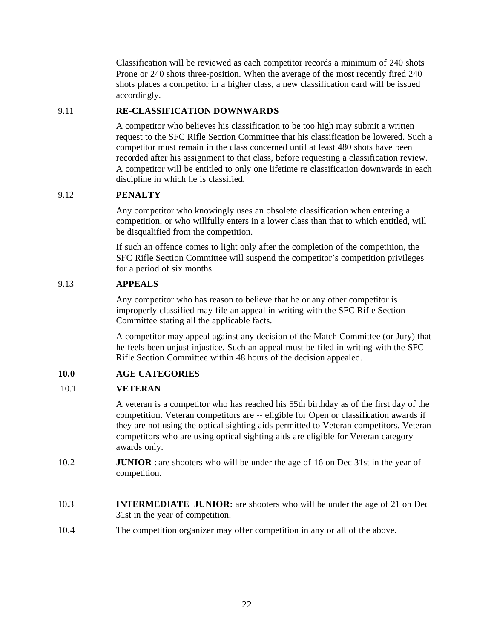Classification will be reviewed as each competitor records a minimum of 240 shots Prone or 240 shots three-position. When the average of the most recently fired 240 shots places a competitor in a higher class, a new classification card will be issued accordingly.

#### 9.11 **RE-CLASSIFICATION DOWNWARDS**

A competitor who believes his classification to be too high may submit a written request to the SFC Rifle Section Committee that his classification be lowered. Such a competitor must remain in the class concerned until at least 480 shots have been recorded after his assignment to that class, before requesting a classification review. A competitor will be entitled to only one lifetime re classification downwards in each discipline in which he is classified.

#### 9.12 **PENALTY**

Any competitor who knowingly uses an obsolete classification when entering a competition, or who willfully enters in a lower class than that to which entitled, will be disqualified from the competition.

If such an offence comes to light only after the completion of the competition, the SFC Rifle Section Committee will suspend the competitor's competition privileges for a period of six months.

#### 9.13 **APPEALS**

Any competitor who has reason to believe that he or any other competitor is improperly classified may file an appeal in writing with the SFC Rifle Section Committee stating all the applicable facts.

A competitor may appeal against any decision of the Match Committee (or Jury) that he feels been unjust injustice. Such an appeal must be filed in writing with the SFC Rifle Section Committee within 48 hours of the decision appealed.

#### **10.0 AGE CATEGORIES**

#### 10.1 **VETERAN**

A veteran is a competitor who has reached his 55th birthday as of the first day of the competition. Veteran competitors are -- eligible for Open or classification awards if they are not using the optical sighting aids permitted to Veteran competitors. Veteran competitors who are using optical sighting aids are eligible for Veteran category awards only.

- 10.2 **JUNIOR**: are shooters who will be under the age of 16 on Dec 31st in the year of competition.
- 10.3 **INTERMEDIATE JUNIOR:** are shooters who will be under the age of 21 on Dec 31st in the year of competition.
- 10.4 The competition organizer may offer competition in any or all of the above.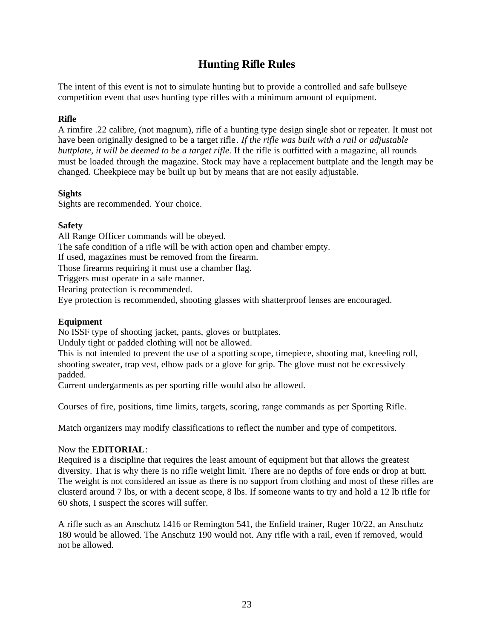### **Hunting Rifle Rules**

The intent of this event is not to simulate hunting but to provide a controlled and safe bullseye competition event that uses hunting type rifles with a minimum amount of equipment.

#### **Rifle**

A rimfire .22 calibre, (not magnum), rifle of a hunting type design single shot or repeater. It must not have been originally designed to be a target rifle . *If the rifle was built with a rail or adjustable buttplate, it will be deemed to be a target rifle.* If the rifle is outfitted with a magazine, all rounds must be loaded through the magazine. Stock may have a replacement buttplate and the length may be changed. Cheekpiece may be built up but by means that are not easily adjustable.

#### **Sights**

Sights are recommended. Your choice.

#### **Safety**

All Range Officer commands will be obeyed.

The safe condition of a rifle will be with action open and chamber empty.

If used, magazines must be removed from the firearm.

Those firearms requiring it must use a chamber flag.

Triggers must operate in a safe manner.

Hearing protection is recommended.

Eye protection is recommended, shooting glasses with shatterproof lenses are encouraged.

#### **Equipment**

No ISSF type of shooting jacket, pants, gloves or buttplates.

Unduly tight or padded clothing will not be allowed.

This is not intended to prevent the use of a spotting scope, timepiece, shooting mat, kneeling roll, shooting sweater, trap vest, elbow pads or a glove for grip. The glove must not be excessively padded.

Current undergarments as per sporting rifle would also be allowed.

Courses of fire, positions, time limits, targets, scoring, range commands as per Sporting Rifle.

Match organizers may modify classifications to reflect the number and type of competitors.

#### Now the **EDITORIAL**:

Required is a discipline that requires the least amount of equipment but that allows the greatest diversity. That is why there is no rifle weight limit. There are no depths of fore ends or drop at butt. The weight is not considered an issue as there is no support from clothing and most of these rifles are clusterd around 7 lbs, or with a decent scope, 8 lbs. If someone wants to try and hold a 12 lb rifle for 60 shots, I suspect the scores will suffer.

A rifle such as an Anschutz 1416 or Remington 541, the Enfield trainer, Ruger 10/22, an Anschutz 180 would be allowed. The Anschutz 190 would not. Any rifle with a rail, even if removed, would not be allowed.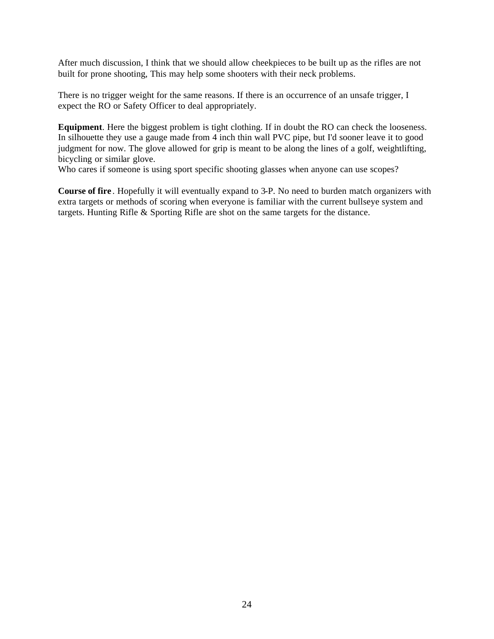After much discussion, I think that we should allow cheekpieces to be built up as the rifles are not built for prone shooting, This may help some shooters with their neck problems.

There is no trigger weight for the same reasons. If there is an occurrence of an unsafe trigger, I expect the RO or Safety Officer to deal appropriately.

**Equipment**. Here the biggest problem is tight clothing. If in doubt the RO can check the looseness. In silhouette they use a gauge made from 4 inch thin wall PVC pipe, but I'd sooner leave it to good judgment for now. The glove allowed for grip is meant to be along the lines of a golf, weightlifting, bicycling or similar glove.

Who cares if someone is using sport specific shooting glasses when anyone can use scopes?

**Course of fire** . Hopefully it will eventually expand to 3-P. No need to burden match organizers with extra targets or methods of scoring when everyone is familiar with the current bullseye system and targets. Hunting Rifle & Sporting Rifle are shot on the same targets for the distance.